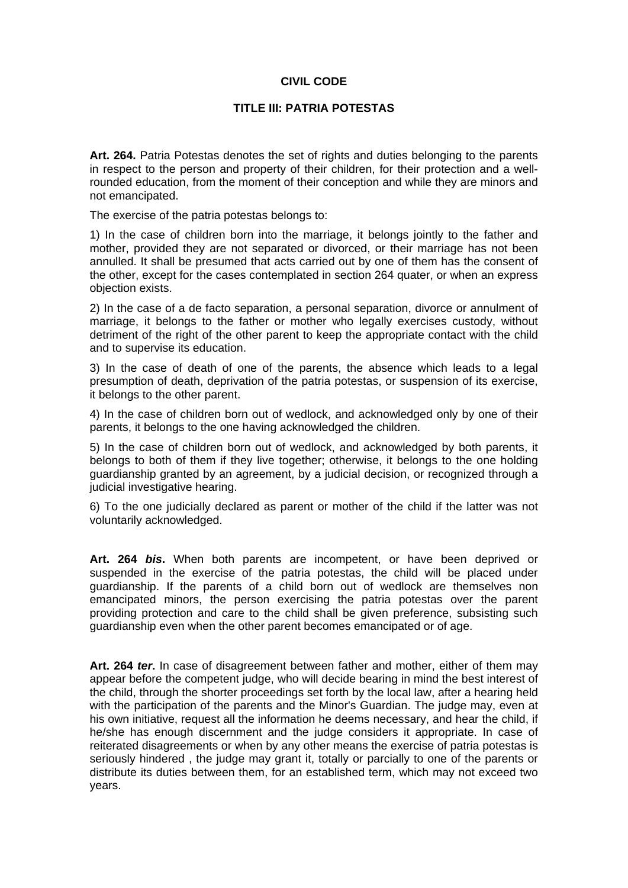## **CIVIL CODE**

## **TITLE III: PATRIA POTESTAS**

**Art. 264.** Patria Potestas denotes the set of rights and duties belonging to the parents in respect to the person and property of their children, for their protection and a wellrounded education, from the moment of their conception and while they are minors and not emancipated.

The exercise of the patria potestas belongs to:

1) In the case of children born into the marriage, it belongs jointly to the father and mother, provided they are not separated or divorced, or their marriage has not been annulled. It shall be presumed that acts carried out by one of them has the consent of the other, except for the cases contemplated in section 264 quater, or when an express objection exists.

2) In the case of a de facto separation, a personal separation, divorce or annulment of marriage, it belongs to the father or mother who legally exercises custody, without detriment of the right of the other parent to keep the appropriate contact with the child and to supervise its education.

3) In the case of death of one of the parents, the absence which leads to a legal presumption of death, deprivation of the patria potestas, or suspension of its exercise, it belongs to the other parent.

4) In the case of children born out of wedlock, and acknowledged only by one of their parents, it belongs to the one having acknowledged the children.

5) In the case of children born out of wedlock, and acknowledged by both parents, it belongs to both of them if they live together; otherwise, it belongs to the one holding guardianship granted by an agreement, by a judicial decision, or recognized through a judicial investigative hearing.

6) To the one judicially declared as parent or mother of the child if the latter was not voluntarily acknowledged.

**Art. 264** *bis***.** When both parents are incompetent, or have been deprived or suspended in the exercise of the patria potestas, the child will be placed under guardianship. If the parents of a child born out of wedlock are themselves non emancipated minors, the person exercising the patria potestas over the parent providing protection and care to the child shall be given preference, subsisting such guardianship even when the other parent becomes emancipated or of age.

**Art. 264** *ter***.** In case of disagreement between father and mother, either of them may appear before the competent judge, who will decide bearing in mind the best interest of the child, through the shorter proceedings set forth by the local law, after a hearing held with the participation of the parents and the Minor's Guardian. The judge may, even at his own initiative, request all the information he deems necessary, and hear the child, if he/she has enough discernment and the judge considers it appropriate. In case of reiterated disagreements or when by any other means the exercise of patria potestas is seriously hindered , the judge may grant it, totally or parcially to one of the parents or distribute its duties between them, for an established term, which may not exceed two years.